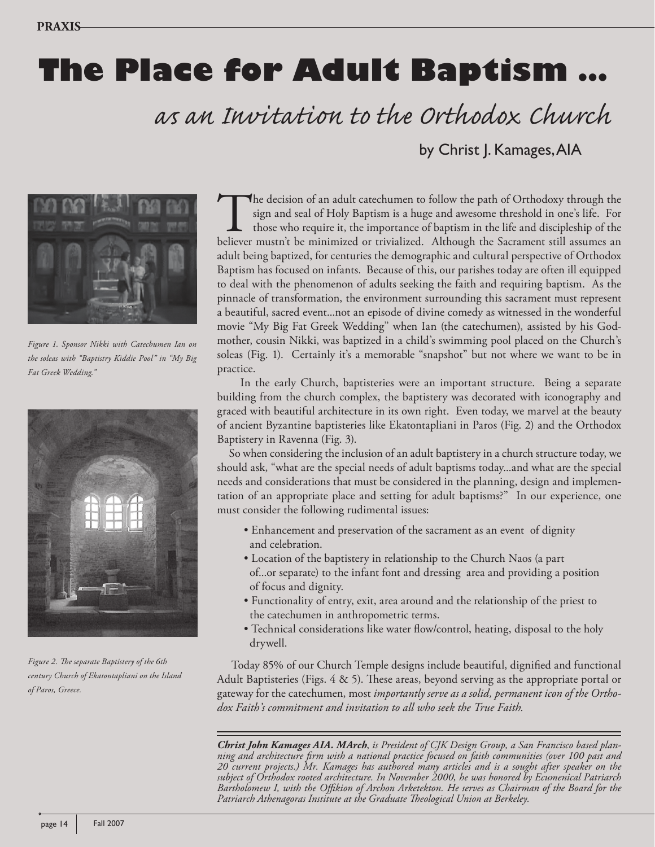## **The Place for Adult Baptism …**

 *as an Invitation to the Orthodox Church*

by Christ J. Kamages, AIA



*Figure 1. Sponsor Nikki with Catechumen Ian on the soleas with "Baptistry Kiddie Pool" in "My Big Fat Greek Wedding."*



Figure 2. The separate Baptistery of the 6th *century Church of Ekatontapliani on the Island of Paros, Greece.*

The decision of an adult catechumen to follow the path of Orthodoxy through the sign and seal of Holy Baptism is a huge and awesome threshold in one's life. For those who require it, the importance of baptism in the life and discipleship of the believer mustn't be minimized or trivialized. Although the Sacrament still assumes an adult being baptized, for centuries the demographic and cultural perspective of Orthodox Baptism has focused on infants. Because of this, our parishes today are often ill equipped to deal with the phenomenon of adults seeking the faith and requiring baptism. As the pinnacle of transformation, the environment surrounding this sacrament must represent a beautiful, sacred event...not an episode of divine comedy as witnessed in the wonderful movie "My Big Fat Greek Wedding" when Ian (the catechumen), assisted by his Godmother, cousin Nikki, was baptized in a child's swimming pool placed on the Church's soleas (Fig. 1). Certainly it's a memorable "snapshot" but not where we want to be in practice.

 In the early Church, baptisteries were an important structure. Being a separate building from the church complex, the baptistery was decorated with iconography and graced with beautiful architecture in its own right. Even today, we marvel at the beauty of ancient Byzantine baptisteries like Ekatontapliani in Paros (Fig. 2) and the Orthodox Baptistery in Ravenna (Fig. 3).

 So when considering the inclusion of an adult baptistery in a church structure today, we should ask, "what are the special needs of adult baptisms today...and what are the special needs and considerations that must be considered in the planning, design and implementation of an appropriate place and setting for adult baptisms?" In our experience, one must consider the following rudimental issues:

- Enhancement and preservation of the sacrament as an event of dignity and celebration.
- Location of the baptistery in relationship to the Church Naos (a part of...or separate) to the infant font and dressing area and providing a position of focus and dignity.
- Functionality of entry, exit, area around and the relationship of the priest to the catechumen in anthropometric terms.
- Technical considerations like water flow/control, heating, disposal to the holy drywell.

Today 85% of our Church Temple designs include beautiful, dignified and functional Adult Baptisteries (Figs.  $4 \& 5$ ). These areas, beyond serving as the appropriate portal or gateway for the catechumen, most *importantly serve as a solid, permanent icon of the Orthodox Faith's commitment and invitation to all who seek the True Faith.*

*Christ John Kamages AIA. MArch*, *is President of CJK Design Group, a San Francisco based planning and architecture fi rm with a national practice focused on faith communities (over 100 past and 20 current projects.) Mr. Kamages has authored many articles and is a sought after speaker on the subject of Orthodox rooted architecture. In November 2000, he was honored by Ecumenical Patriarch*  Bartholomew I, with the Offikion of Archon Arketekton. He serves as Chairman of the Board for the Patriarch Athenagoras Institute at the Graduate Theological Union at Berkeley.